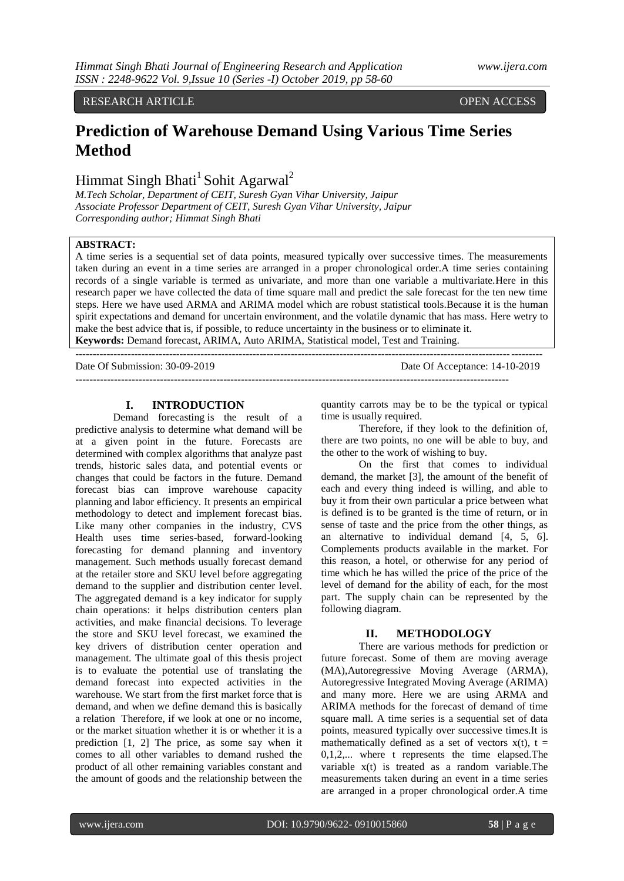## RESEARCH ARTICLE **CONSERVERS** OPEN ACCESS

# **Prediction of Warehouse Demand Using Various Time Series Method**

# Himmat Singh Bhati<sup>1</sup> Sohit Agarwal<sup>2</sup>

*M.Tech Scholar, Department of CEIT, Suresh Gyan Vihar University, Jaipur Associate Professor Department of CEIT, Suresh Gyan Vihar University, Jaipur Corresponding author; Himmat Singh Bhati*

## **ABSTRACT:**

A time series is a sequential set of data points, measured typically over successive times. The measurements taken during an event in a time series are arranged in a proper chronological order.A time series containing records of a single variable is termed as univariate, and more than one variable a multivariate.Here in this research paper we have collected the data of time square mall and predict the sale forecast for the ten new time steps. Here we have used ARMA and ARIMA model which are robust statistical tools.Because it is the human spirit expectations and demand for uncertain environment, and the volatile dynamic that has mass. Here wetry to make the best advice that is, if possible, to reduce uncertainty in the business or to eliminate it. **Keywords:** Demand forecast, ARIMA, Auto ARIMA, Statistical model, Test and Training.

--------------------------------------------------------------------------------------------------------------------------------------

Date Of Submission: 30-09-2019 Date Of Acceptance: 14-10-2019

---------------------------------------------------------------------------------------------------------------------------

### **I. INTRODUCTION**

[Demand forecasting](https://widgetbrain.com/demand-forecasting-retail/) is the result of a predictive analysis to determine what demand will be at a given point in the future. Forecasts are determined with complex algorithms that analyze past trends, historic sales data, and potential events or changes that could be factors in the future. Demand forecast bias can improve warehouse capacity planning and labor efficiency. It presents an empirical methodology to detect and implement forecast bias. Like many other companies in the industry, CVS Health uses time series-based, forward-looking forecasting for demand planning and inventory management. Such methods usually forecast demand at the retailer store and SKU level before aggregating demand to the supplier and distribution center level. The aggregated demand is a key indicator for supply chain operations: it helps distribution centers plan activities, and make financial decisions. To leverage the store and SKU level forecast, we examined the key drivers of distribution center operation and management. The ultimate goal of this thesis project is to evaluate the potential use of translating the demand forecast into expected activities in the warehouse. We start from the first market force that is demand, and when we define demand this is basically a relation Therefore, if we look at one or no income, or the market situation whether it is or whether it is a prediction [1, 2] The price, as some say when it comes to all other variables to demand rushed the product of all other remaining variables constant and the amount of goods and the relationship between the

quantity carrots may be to be the typical or typical time is usually required.

Therefore, if they look to the definition of, there are two points, no one will be able to buy, and the other to the work of wishing to buy.

On the first that comes to individual demand, the market [3], the amount of the benefit of each and every thing indeed is willing, and able to buy it from their own particular a price between what is defined is to be granted is the time of return, or in sense of taste and the price from the other things, as an alternative to individual demand [4, 5, 6]. Complements products available in the market. For this reason, a hotel, or otherwise for any period of time which he has willed the price of the price of the level of demand for the ability of each, for the most part. The supply chain can be represented by the following diagram.

### **II. METHODOLOGY**

There are various methods for prediction or future forecast. Some of them are moving average (MA)[,Autoregressive Moving Average \(ARMA\),](http://localhost:8080/notebooks/Time%20Series%20in%20Python.ipynb#Autoregressive-Moving-Average-(ARMA)) [Autoregressive Integrated Moving Average \(ARIMA\)](http://localhost:8080/notebooks/Time%20Series%20in%20Python.ipynb#Autoregressive-Integrated-Moving-Average-(ARIMA)) and many more. Here we are using ARMA and ARIMA methods for the forecast of demand of time square mall. A time series is a sequential set of data points, measured typically over successive times.It is mathematically defined as a set of vectors  $x(t)$ ,  $t =$ 0,1,2,... where t represents the time elapsed.The variable x(t) is treated as a random variable.The measurements taken during an event in a time series are arranged in a proper chronological order.A time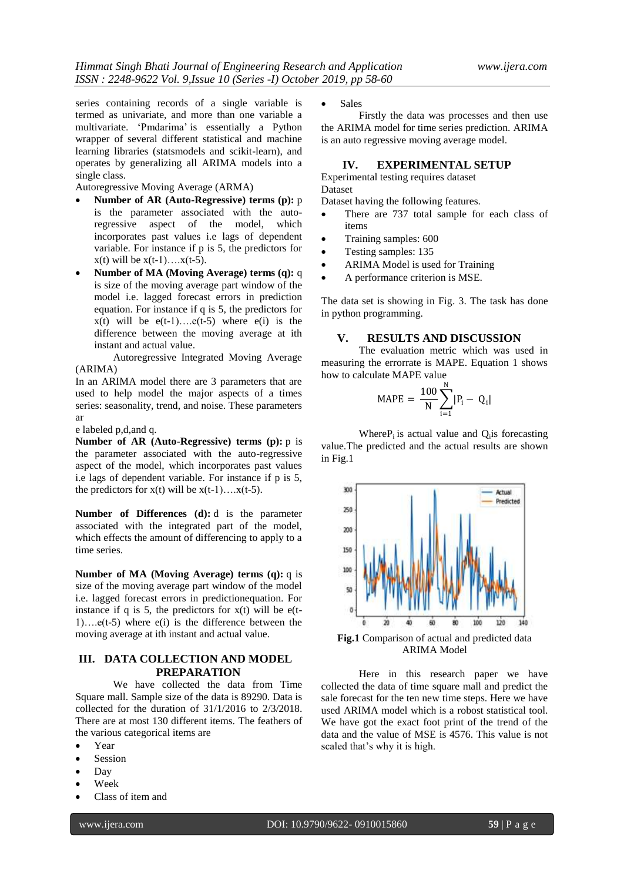series containing records of a single variable is termed as univariate, and more than one variable a multivariate. "Pmdarima" is essentially a Python wrapper of several different statistical and machine learning libraries (statsmodels and scikit-learn), and operates by generalizing all ARIMA models into a single class.

Autoregressive Moving Average (ARMA)

- **Number of AR (Auto-Regressive) terms (p):** p is the parameter associated with the autoregressive aspect of the model, which incorporates past values i.e lags of dependent variable. For instance if p is 5, the predictors for  $x(t)$  will be  $x(t-1)$ …. $x(t-5)$ .
- **Number of MA (Moving Average) terms (q):** q is size of the moving average part window of the model i.e. lagged forecast errors in prediction equation. For instance if q is 5, the predictors for  $x(t)$  will be  $e(t-1)...e(t-5)$  where  $e(i)$  is the difference between the moving average at ith instant and actual value.

Autoregressive Integrated Moving Average (ARIMA)

In an ARIMA model there are 3 parameters that are used to help model the major aspects of a times series: seasonality, trend, and noise. These parameters ar

e labeled p,d,and q.

**Number of AR (Auto-Regressive) terms (p):** p is the parameter associated with the auto-regressive aspect of the model, which incorporates past values i.e lags of dependent variable. For instance if p is 5, the predictors for  $x(t)$  will be  $x(t-1)$ ….  $x(t-5)$ .

**Number of Differences (d):** d is the parameter associated with the integrated part of the model, which effects the amount of differencing to apply to a time series.

**Number of MA (Moving Average) terms (q):** q is size of the moving average part window of the model i.e. lagged forecast errors in predictionequation. For instance if q is 5, the predictors for  $x(t)$  will be e(t-1).... $e(t-5)$  where  $e(i)$  is the difference between the moving average at ith instant and actual value.

# **III. DATA COLLECTION AND MODEL PREPARATION**

We have collected the data from Time Square mall. Sample size of the data is 89290. Data is collected for the duration of 31/1/2016 to 2/3/2018. There are at most 130 different items. The feathers of the various categorical items are

- Year
- Session
- Day
- Week
- Class of item and

• Sales

Firstly the data was processes and then use the ARIMA model for time series prediction. ARIMA is an auto regressive moving average model.

# **IV. EXPERIMENTAL SETUP**

Experimental testing requires dataset Dataset

Dataset having the following features.

- There are 737 total sample for each class of items
- Training samples: 600
- Testing samples: 135
- ARIMA Model is used for Training
- A performance criterion is MSE.

The data set is showing in Fig. 3. The task has done in python programming.

# **V. RESULTS AND DISCUSSION**

The evaluation metric which was used in measuring the errorrate is MAPE. Equation 1 shows how to calculate MAPE value

$$
MAPE = \frac{100}{N} \sum_{i=1}^{N} |P_i - Q_i|
$$

Where $P_i$  is actual value and  $Q_i$  is forecasting value.The predicted and the actual results are shown in Fig.1



**Fig.1** Comparison of actual and predicted data ARIMA Model

Here in this research paper we have collected the data of time square mall and predict the sale forecast for the ten new time steps. Here we have used ARIMA model which is a robost statistical tool. We have got the exact foot print of the trend of the data and the value of MSE is 4576. This value is not scaled that"s why it is high.